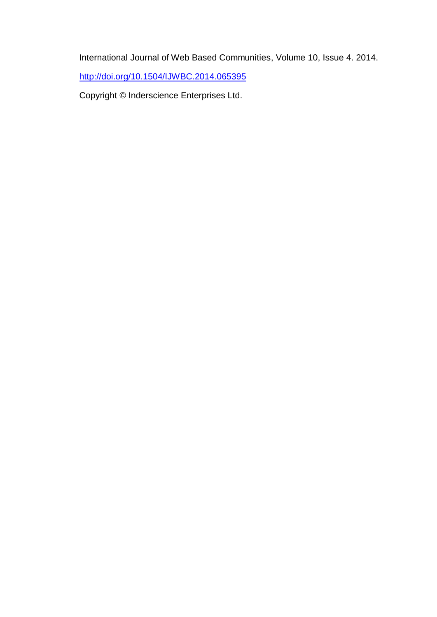International Journal of Web Based Communities, Volume 10, Issue 4. 2014.

<http://doi.org/10.1504/IJWBC.2014.065395>

Copyright © Inderscience Enterprises Ltd.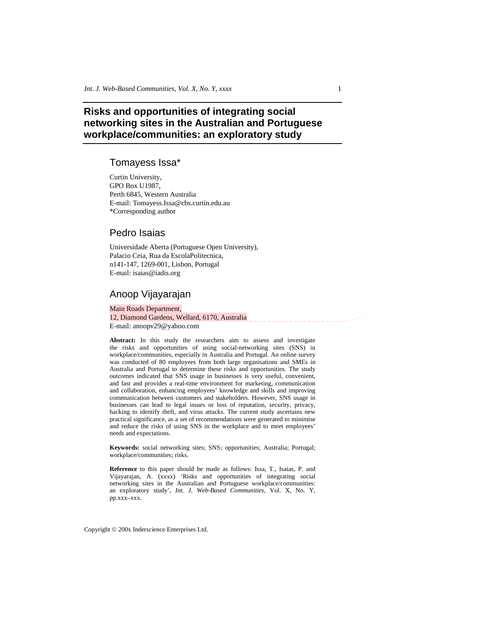# **Risks and opportunities of integrating social networking sites in the Australian and Portuguese workplace/communities: an exploratory study**

# Tomayess Issa\*

Curtin University, GPO Box U1987, Perth 6845, Western Australia E-mail: Tomayess.Issa@cbs.curtin.edu.au \*Corresponding author

# Pedro Isaias

Universidade Aberta (Portuguese Open University), Palacio Ceia, Rua da EscolaPolitecnica, n141-147, 1269-001, Lisbon, Portugal E-mail: isaias@iadis.org

# Anoop Vijayarajan

Main Roads Department, 12, Diamond Gardens, Wellard, 6170, Australia E-mail: anoopv29@yahoo.com

**Abstract:** In this study the researchers aim to assess and investigate the risks and opportunities of using social-networking sites (SNS) in workplace/communities, especially in Australia and Portugal. An online survey was conducted of 80 employees from both large organisations and SMEs in Australia and Portugal to determine these risks and opportunities. The study outcomes indicated that SNS usage in businesses is very useful, convenient, and fast and provides a real-time environment for marketing, communication and collaboration, enhancing employees' knowledge and skills and improving communication between customers and stakeholders. However, SNS usage in businesses can lead to legal issues or loss of reputation, security, privacy, hacking to identify theft, and virus attacks. The current study ascertains new practical significance, as a set of recommendations were generated to minimise and reduce the risks of using SNS in the workplace and to meet employees' needs and expectations.

**Keywords:** social networking sites; SNS; opportunities; Australia; Portugal; workplace/communities; risks.

**Reference** to this paper should be made as follows: Issa, T., Isaias, P. and Vijayarajan, A. (xxxx) 'Risks and opportunities of integrating social networking sites in the Australian and Portuguese workplace/communities: an exploratory study', *Int. J. Web-Based Communities*, Vol. X, No. Y, pp.xxx–xxx.

Copyright © 200x Inderscience Enterprises Ltd.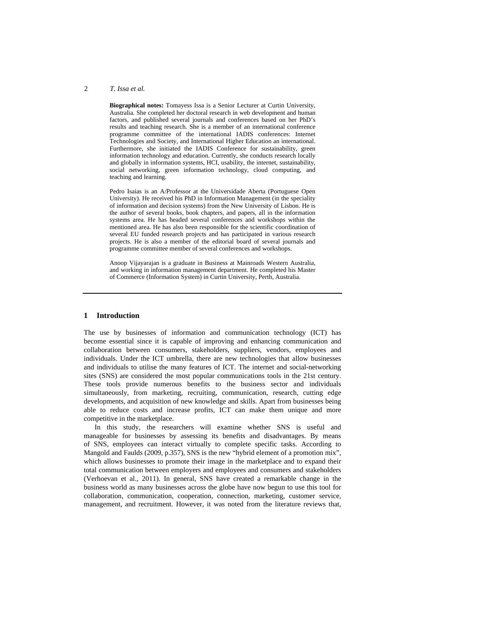**Biographical notes:** Tomayess Issa is a Senior Lecturer at Curtin University, Australia. She completed her doctoral research in web development and human factors, and published several journals and conferences based on her PhD's results and teaching research. She is a member of an international conference programme committee of the international IADIS conferences: Internet Technologies and Society, and International Higher Education an international. Furthermore, she initiated the IADIS Conference for sustainability, green information technology and education. Currently, she conducts research locally and globally in information systems, HCI, usability, the internet, sustainability, social networking, green information technology, cloud computing, and teaching and learning.

Pedro Isaias is an A/Professor at the Universidade Aberta (Portuguese Open University). He received his PhD in Information Management (in the speciality of information and decision systems) from the New University of Lisbon. He is the author of several books, book chapters, and papers, all in the information systems area. He has headed several conferences and workshops within the mentioned area. He has also been responsible for the scientific coordination of several EU funded research projects and has participated in various research projects. He is also a member of the editorial board of several journals and programme committee member of several conferences and workshops.

Anoop Vijayarajan is a graduate in Business at Mainroads Western Australia, and working in information management department. He completed his Master of Commerce (Information System) in Curtin University, Perth, Australia.

# **1 Introduction**

The use by businesses of information and communication technology (ICT) has become essential since it is capable of improving and enhancing communication and collaboration between consumers, stakeholders, suppliers, vendors, employees and individuals. Under the ICT umbrella, there are new technologies that allow businesses and individuals to utilise the many features of ICT. The internet and social-networking sites (SNS) are considered the most popular communications tools in the 21st century. These tools provide numerous benefits to the business sector and individuals simultaneously, from marketing, recruiting, communication, research, cutting edge developments, and acquisition of new knowledge and skills. Apart from businesses being able to reduce costs and increase profits, ICT can make them unique and more competitive in the marketplace.

In this study, the researchers will examine whether SNS is useful and manageable for businesses by assessing its benefits and disadvantages. By means of SNS, employees can interact virtually to complete specific tasks. According to Mangold and Faulds (2009, p.357), SNS is the new "hybrid element of a promotion mix", which allows businesses to promote their image in the marketplace and to expand their total communication between employers and employees and consumers and stakeholders (Verhoevan et al., 2011). In general, SNS have created a remarkable change in the business world as many businesses across the globe have now begun to use this tool for collaboration, communication, cooperation, connection, marketing, customer service, management, and recruitment. However, it was noted from the literature reviews that,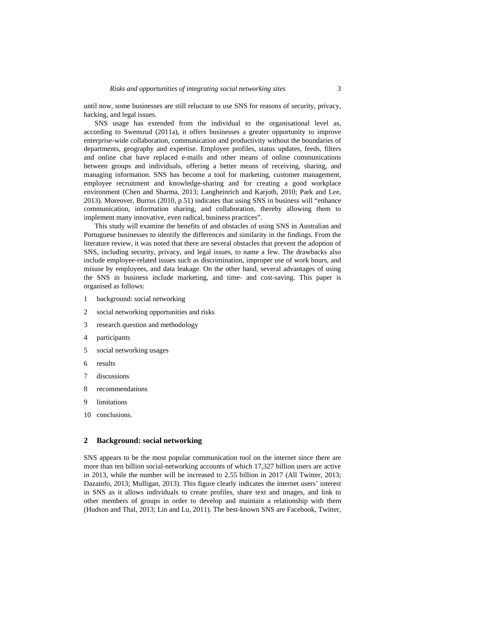until now, some businesses are still reluctant to use SNS for reasons of security, privacy, hacking, and legal issues.

SNS usage has extended from the individual to the organisational level as, according to Swensrud (2011a), it offers businesses a greater opportunity to improve enterprise-wide collaboration, communication and productivity without the boundaries of departments, geography and expertise. Employee profiles, status updates, feeds, filters and online chat have replaced e-mails and other means of online communications between groups and individuals, offering a better means of receiving, sharing, and managing information. SNS has become a tool for marketing, customer management, employee recruitment and knowledge-sharing and for creating a good workplace environment (Chen and Sharma, 2013; Langheinrich and Karjoth, 2010; Park and Lee, 2013). Moreover, Burrus (2010, p.51) indicates that using SNS in business will "enhance communication, information sharing, and collaboration, thereby allowing them to implement many innovative, even radical, business practices".

This study will examine the benefits of and obstacles of using SNS in Australian and Portuguese businesses to identify the differences and similarity in the findings. From the literature review, it was noted that there are several obstacles that prevent the adoption of SNS, including security, privacy, and legal issues, to name a few. The drawbacks also include employee-related issues such as discrimination, improper use of work hours, and misuse by employees, and data leakage. On the other hand, several advantages of using the SNS in business include marketing, and time- and cost-saving. This paper is organised as follows:

- 1 background: social networking
- 2 social networking opportunities and risks
- 3 research question and methodology
- 4 participants
- 5 social networking usages
- 6 results
- 7 discussions
- 8 recommendations
- 9 limitations
- 10 conclusions.

# **2 Background: social networking**

SNS appears to be the most popular communication tool on the internet since there are more than ten billion social-networking accounts of which 17,327 billion users are active in 2013, while the number will be increased to 2.55 billion in 2017 (All Twitter, 2013; Dazainfo, 2013; Mulligan, 2013). This figure clearly indicates the internet users' interest in SNS as it allows individuals to create profiles, share text and images, and link to other members of groups in order to develop and maintain a relationship with them (Hudson and Thal, 2013; Lin and Lu, 2011). The best-known SNS are Facebook, Twitter,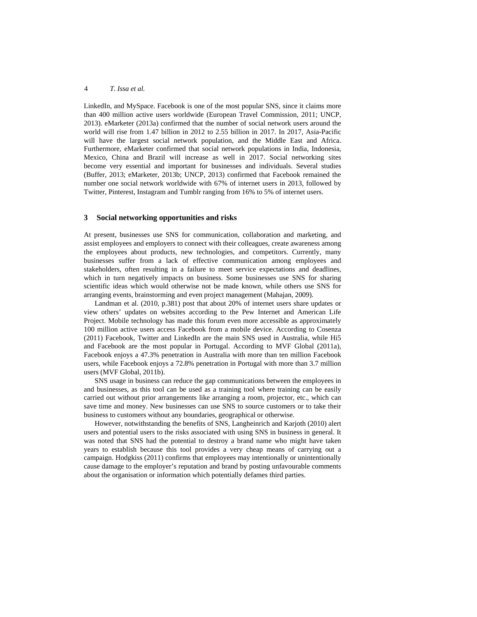LinkedIn, and MySpace. Facebook is one of the most popular SNS, since it claims more than 400 million active users worldwide (European Travel Commission, 2011; UNCP, 2013). eMarketer (2013a) confirmed that the number of social network users around the world will rise from 1.47 billion in 2012 to 2.55 billion in 2017. In 2017, Asia-Pacific will have the largest social network population, and the Middle East and Africa. Furthermore, eMarketer confirmed that social network populations in India, Indonesia, Mexico, China and Brazil will increase as well in 2017. Social networking sites become very essential and important for businesses and individuals. Several studies (Buffer, 2013; eMarketer, 2013b; UNCP, 2013) confirmed that Facebook remained the number one social network worldwide with 67% of internet users in 2013, followed by Twitter, Pinterest, Instagram and Tumblr ranging from 16% to 5% of internet users.

#### **3 Social networking opportunities and risks**

At present, businesses use SNS for communication, collaboration and marketing, and assist employees and employers to connect with their colleagues, create awareness among the employees about products, new technologies, and competitors. Currently, many businesses suffer from a lack of effective communication among employees and stakeholders, often resulting in a failure to meet service expectations and deadlines, which in turn negatively impacts on business. Some businesses use SNS for sharing scientific ideas which would otherwise not be made known, while others use SNS for arranging events, brainstorming and even project management (Mahajan, 2009).

Landman et al. (2010, p.381) post that about 20% of internet users share updates or view others' updates on websites according to the Pew Internet and American Life Project. Mobile technology has made this forum even more accessible as approximately 100 million active users access Facebook from a mobile device. According to Cosenza (2011) Facebook, Twitter and LinkedIn are the main SNS used in Australia, while Hi5 and Facebook are the most popular in Portugal. According to MVF Global (2011a), Facebook enjoys a 47.3% penetration in Australia with more than ten million Facebook users, while Facebook enjoys a 72.8% penetration in Portugal with more than 3.7 million users (MVF Global, 2011b).

SNS usage in business can reduce the gap communications between the employees in and businesses, as this tool can be used as a training tool where training can be easily carried out without prior arrangements like arranging a room, projector, etc., which can save time and money. New businesses can use SNS to source customers or to take their business to customers without any boundaries, geographical or otherwise.

However, notwithstanding the benefits of SNS, Langheinrich and Karjoth (2010) alert users and potential users to the risks associated with using SNS in business in general. It was noted that SNS had the potential to destroy a brand name who might have taken years to establish because this tool provides a very cheap means of carrying out a campaign. Hodgkiss (2011) confirms that employees may intentionally or unintentionally cause damage to the employer's reputation and brand by posting unfavourable comments about the organisation or information which potentially defames third parties.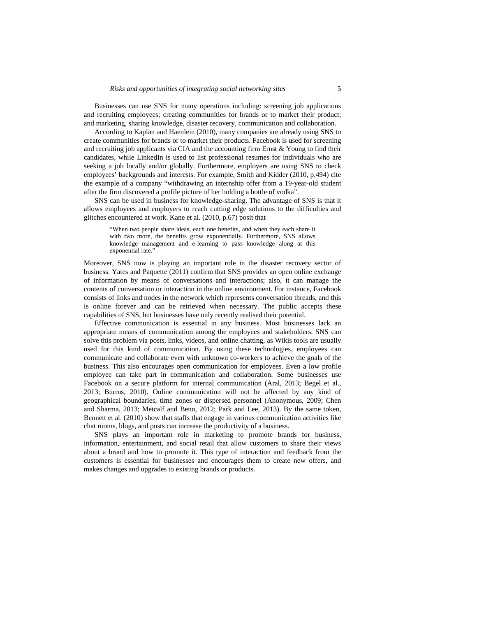Businesses can use SNS for many operations including: screening job applications and recruiting employees; creating communities for brands or to market their product; and marketing, sharing knowledge, disaster recovery, communication and collaboration.

According to Kaplan and Haenlein (2010), many companies are already using SNS to create communities for brands or to market their products. Facebook is used for screening and recruiting job applicants via CIA and the accounting firm Ernst & Young to find their candidates, while LinkedIn is used to list professional resumes for individuals who are seeking a job locally and/or globally. Furthermore, employers are using SNS to check employees' backgrounds and interests. For example, Smith and Kidder (2010, p.494) cite the example of a company "withdrawing an internship offer from a 19-year-old student after the firm discovered a profile picture of her holding a bottle of vodka".

SNS can be used in business for knowledge-sharing. The advantage of SNS is that it allows employees and employers to reach cutting edge solutions to the difficulties and glitches encountered at work. Kane et al. (2010, p.67) posit that

"When two people share ideas, each one benefits, and when they each share it with two more, the benefits grow exponentially. Furthermore, SNS allows knowledge management and e-learning to pass knowledge along at this exponential rate.'

Moreover, SNS now is playing an important role in the disaster recovery sector of business. Yates and Paquette (2011) confirm that SNS provides an open online exchange of information by means of conversations and interactions; also, it can manage the contents of conversation or interaction in the online environment. For instance, Facebook consists of links and nodes in the network which represents conversation threads, and this is online forever and can be retrieved when necessary. The public accepts these capabilities of SNS, but businesses have only recently realised their potential.

Effective communication is essential in any business. Most businesses lack an appropriate means of communication among the employees and stakeholders. SNS can solve this problem via posts, links, videos, and online chatting, as Wikis tools are usually used for this kind of communication. By using these technologies, employees can communicate and collaborate even with unknown co-workers to achieve the goals of the business. This also encourages open communication for employees. Even a low profile employee can take part in communication and collaboration. Some businesses use Facebook on a secure platform for internal communication (Aral, 2013; Begel et al., 2013; Burrus, 2010). Online communication will not be affected by any kind of geographical boundaries, time zones or dispersed personnel (Anonymous, 2009; Chen and Sharma, 2013; Metcalf and Benn, 2012; Park and Lee, 2013). By the same token, Bennett et al. (2010) show that staffs that engage in various communication activities like chat rooms, blogs, and posts can increase the productivity of a business.

SNS plays an important role in marketing to promote brands for business, information, entertainment, and social retail that allow customers to share their views about a brand and how to promote it. This type of interaction and feedback from the customers is essential for businesses and encourages them to create new offers, and makes changes and upgrades to existing brands or products.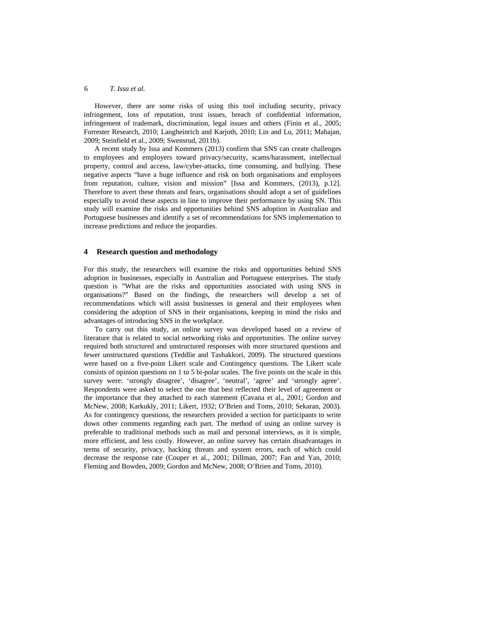However, there are some risks of using this tool including security, privacy infringement, loss of reputation, trust issues, breach of confidential information, infringement of trademark, discrimination, legal issues and others (Finin et al., 2005; Forrester Research, 2010; Langheinrich and Karjoth, 2010; Lin and Lu, 2011; Mahajan, 2009; Steinfield et al., 2009; Swensrud, 2011b).

A recent study by Issa and Kommers (2013) confirm that SNS can create challenges to employees and employers toward privacy/security, scams/harassment, intellectual property, control and access, law/cyber-attacks, time consuming, and bullying. These negative aspects "have a huge influence and risk on both organisations and employees from reputation, culture, vision and mission" [Issa and Kommers, (2013), p.12]. Therefore to avert these threats and fears, organisations should adopt a set of guidelines especially to avoid these aspects in line to improve their performance by using SN. This study will examine the risks and opportunities behind SNS adoption in Australian and Portuguese businesses and identify a set of recommendations for SNS implementation to increase predictions and reduce the jeopardies.

## **4 Research question and methodology**

For this study, the researchers will examine the risks and opportunities behind SNS adoption in businesses, especially in Australian and Portuguese enterprises. The study question is "What are the risks and opportunities associated with using SNS in organisations?" Based on the findings, the researchers will develop a set of recommendations which will assist businesses in general and their employees when considering the adoption of SNS in their organisations, keeping in mind the risks and advantages of introducing SNS in the workplace.

To carry out this study, an online survey was developed based on a review of literature that is related to social networking risks and opportunities. The online survey required both structured and unstructured responses with more structured questions and fewer unstructured questions (Teddlie and Tashakkori, 2009). The structured questions were based on a five-point Likert scale and Contingency questions. The Likert scale consists of opinion questions on 1 to 5 bi-polar scales. The five points on the scale in this survey were: 'strongly disagree', 'disagree', 'neutral', 'agree' and 'strongly agree'. Respondents were asked to select the one that best reflected their level of agreement or the importance that they attached to each statement (Cavana et al., 2001; Gordon and McNew, 2008; Karkukly, 2011; Likert, 1932; O'Brien and Toms, 2010; Sekaran, 2003). As for contingency questions, the researchers provided a section for participants to write down other comments regarding each part. The method of using an online survey is preferable to traditional methods such as mail and personal interviews, as it is simple, more efficient, and less costly. However, an online survey has certain disadvantages in terms of security, privacy, hacking threats and system errors, each of which could decrease the response rate (Couper et al., 2001; Dillman, 2007; Fan and Yan, 2010; Fleming and Bowden, 2009; Gordon and McNew, 2008; O'Brien and Toms, 2010).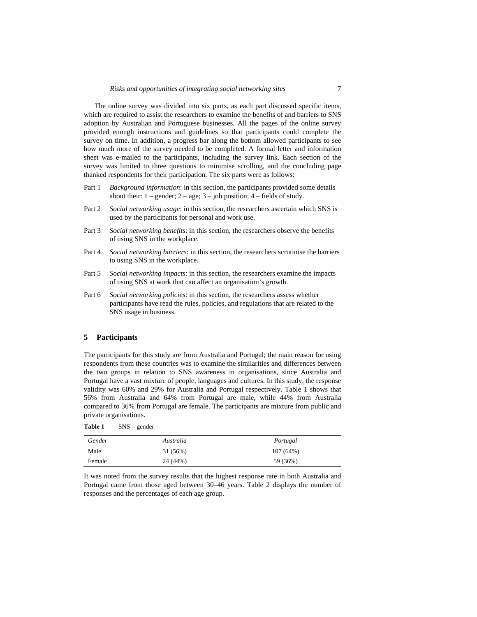The online survey was divided into six parts, as each part discussed specific items, which are required to assist the researchers to examine the benefits of and barriers to SNS adoption by Australian and Portuguese businesses. All the pages of the online survey provided enough instructions and guidelines so that participants could complete the survey on time. In addition, a progress bar along the bottom allowed participants to see how much more of the survey needed to be completed. A formal letter and information sheet was e-mailed to the participants, including the survey link. Each section of the survey was limited to three questions to minimise scrolling, and the concluding page thanked respondents for their participation. The six parts were as follows:

- Part 1 *Background information*: in this section, the participants provided some details about their:  $1$  – gender;  $2$  – age;  $3$  – job position;  $4$  – fields of study.
- Part 2 *Social networking usage*: in this section, the researchers ascertain which SNS is used by the participants for personal and work use.
- Part 3 *Social networking benefits*: in this section, the researchers observe the benefits of using SNS in the workplace.
- Part 4 *Social networking barriers*: in this section, the researchers scrutinise the barriers to using SNS in the workplace.
- Part 5 *Social networking impacts*: in this section, the researchers examine the impacts of using SNS at work that can affect an organisation's growth.
- Part 6 *Social networking policies*: in this section, the researchers assess whether participants have read the rules, policies, and regulations that are related to the SNS usage in business.

#### **5 Participants**

The participants for this study are from Australia and Portugal; the main reason for using respondents from these countries was to examine the similarities and differences between the two groups in relation to SNS awareness in organisations, since Australia and Portugal have a vast mixture of people, languages and cultures. In this study, the response validity was 60% and 29% for Australia and Portugal respectively. Table 1 shows that 56% from Australia and 64% from Portugal are male, while 44% from Australia compared to 36% from Portugal are female. The participants are mixture from public and private organisations.

**Table 1** SNS – gender

| Gender | Australia | Portugal |
|--------|-----------|----------|
| Male   | 31 (56%)  | 107(64%) |
| Female | 24 (44%)  | 59 (36%) |

It was noted from the survey results that the highest response rate in both Australia and Portugal came from those aged between 30–46 years. Table 2 displays the number of responses and the percentages of each age group.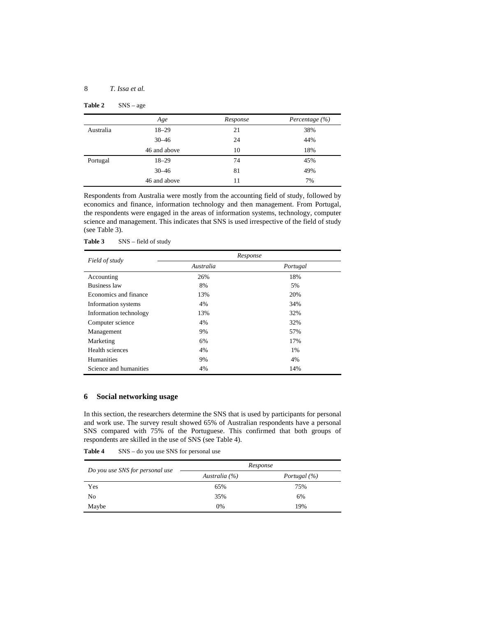|           | Age          | Response | Percentage $(\% )$ |
|-----------|--------------|----------|--------------------|
| Australia | $18 - 29$    | 21       | 38%                |
|           | $30 - 46$    | 24       | 44%                |
|           | 46 and above | 10       | 18%                |
| Portugal  | $18 - 29$    | 74       | 45%                |
|           | $30 - 46$    | 81       | 49%                |
|           | 46 and above | 11       | 7%                 |

Respondents from Australia were mostly from the accounting field of study, followed by economics and finance, information technology and then management. From Portugal, the respondents were engaged in the areas of information systems, technology, computer science and management. This indicates that SNS is used irrespective of the field of study (see Table 3).

| Field of study         | Response  |          |  |
|------------------------|-----------|----------|--|
|                        | Australia | Portugal |  |
| Accounting             | 26%       | 18%      |  |
| <b>Business law</b>    | 8%        | 5%       |  |
| Economics and finance  | 13%       | 20%      |  |
| Information systems    | 4%        | 34%      |  |
| Information technology | 13%       | 32%      |  |
| Computer science       | 4%        | 32%      |  |
| Management             | 9%        | 57%      |  |
| Marketing              | 6%        | 17%      |  |
| Health sciences        | 4%        | 1%       |  |
| Humanities             | 9%        | 4%       |  |
| Science and humanities | 4%        | 14%      |  |

| Table 3 |  |  | $SNS$ – field of study |
|---------|--|--|------------------------|
|---------|--|--|------------------------|

# **6 Social networking usage**

In this section, the researchers determine the SNS that is used by participants for personal and work use. The survey result showed 65% of Australian respondents have a personal SNS compared with 75% of the Portuguese. This confirmed that both groups of respondents are skilled in the use of SNS (see Table 4).

**Table 4** SNS – do you use SNS for personal use

| Do you use SNS for personal use | Response      |              |
|---------------------------------|---------------|--------------|
|                                 | Australia (%) | Portugal (%) |
| Yes                             | 65%           | 75%          |
| No                              | 35%           | 6%           |
| Maybe                           | 0%            | 19%          |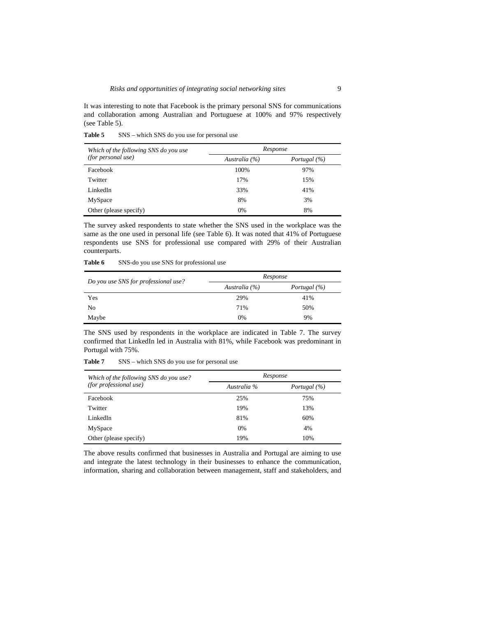It was interesting to note that Facebook is the primary personal SNS for communications and collaboration among Australian and Portuguese at 100% and 97% respectively (see Table 5).

Table 5 SNS – which SNS do you use for personal use

| Which of the following SNS do you use | Response      |                  |
|---------------------------------------|---------------|------------------|
| <i>(for personal use)</i>             | Australia (%) | Portugal $(\% )$ |
| Facebook                              | 100%          | 97%              |
| Twitter                               | 17%           | 15%              |
| LinkedIn                              | 33%           | 41%              |
| MySpace                               | 8%            | 3%               |
| Other (please specify)                | 0%            | 8%               |

The survey asked respondents to state whether the SNS used in the workplace was the same as the one used in personal life (see Table 6). It was noted that 41% of Portuguese respondents use SNS for professional use compared with 29% of their Australian counterparts.

Table 6 SNS-do you use SNS for professional use

| Do you use SNS for professional use? | Response      |              |
|--------------------------------------|---------------|--------------|
|                                      | Australia (%) | Portugal (%) |
| Yes                                  | 29%           | 41%          |
| N <sub>0</sub>                       | 71%           | 50%          |
| Maybe                                | 0%            | 9%           |

The SNS used by respondents in the workplace are indicated in Table 7. The survey confirmed that LinkedIn led in Australia with 81%, while Facebook was predominant in Portugal with 75%.

Table 7 SNS – which SNS do you use for personal use

| Which of the following SNS do you use? |             | Response     |
|----------------------------------------|-------------|--------------|
| <i>(for professional use)</i>          | Australia % | Portugal (%) |
| Facebook                               | 25%         | 75%          |
| Twitter                                | 19%         | 13%          |
| LinkedIn                               | 81%         | 60%          |
| MySpace                                | 0%          | 4%           |
| Other (please specify)                 | 19%         | 10%          |

The above results confirmed that businesses in Australia and Portugal are aiming to use and integrate the latest technology in their businesses to enhance the communication, information, sharing and collaboration between management, staff and stakeholders, and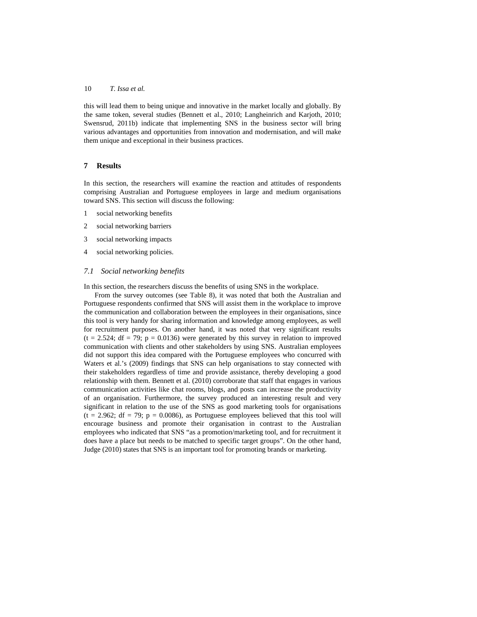this will lead them to being unique and innovative in the market locally and globally. By the same token, several studies (Bennett et al., 2010; Langheinrich and Karjoth, 2010; Swensrud, 2011b) indicate that implementing SNS in the business sector will bring various advantages and opportunities from innovation and modernisation, and will make them unique and exceptional in their business practices.

# **7 Results**

In this section, the researchers will examine the reaction and attitudes of respondents comprising Australian and Portuguese employees in large and medium organisations toward SNS. This section will discuss the following:

- 1 social networking benefits
- 2 social networking barriers
- 3 social networking impacts
- 4 social networking policies.

#### *7.1 Social networking benefits*

In this section, the researchers discuss the benefits of using SNS in the workplace.

From the survey outcomes (see Table 8), it was noted that both the Australian and Portuguese respondents confirmed that SNS will assist them in the workplace to improve the communication and collaboration between the employees in their organisations, since this tool is very handy for sharing information and knowledge among employees, as well for recruitment purposes. On another hand, it was noted that very significant results  $(t = 2.524; df = 79; p = 0.0136)$  were generated by this survey in relation to improved communication with clients and other stakeholders by using SNS. Australian employees did not support this idea compared with the Portuguese employees who concurred with Waters et al.'s (2009) findings that SNS can help organisations to stay connected with their stakeholders regardless of time and provide assistance, thereby developing a good relationship with them. Bennett et al. (2010) corroborate that staff that engages in various communication activities like chat rooms, blogs, and posts can increase the productivity of an organisation. Furthermore, the survey produced an interesting result and very significant in relation to the use of the SNS as good marketing tools for organisations  $(t = 2.962$ ;  $df = 79$ ;  $p = 0.0086$ ), as Portuguese employees believed that this tool will encourage business and promote their organisation in contrast to the Australian employees who indicated that SNS "as a promotion/marketing tool, and for recruitment it does have a place but needs to be matched to specific target groups". On the other hand, Judge (2010) states that SNS is an important tool for promoting brands or marketing.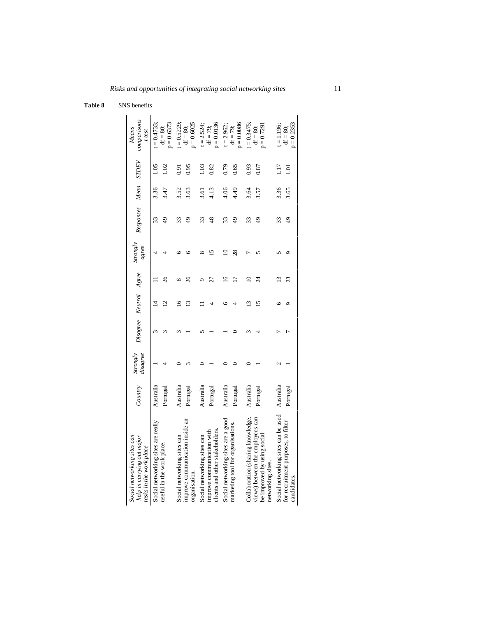| Social networking sites can<br>help in carrying out major<br>tasks in the work place | Country   | $disagree$<br>Strongly | Disagree Neutral Agree  |                | Strongly<br>agree | Responses Mean |      | <b>STDEV</b>    | comparisons<br>Means<br>t test |
|--------------------------------------------------------------------------------------|-----------|------------------------|-------------------------|----------------|-------------------|----------------|------|-----------------|--------------------------------|
| Social networking sites are really                                                   | Australia |                        | 4                       |                |                   | 33             | 3.36 | 1.05            | $t = 0.4733$ ;                 |
| useful in the work place.                                                            | Portugal  |                        | $\overline{\mathbf{c}}$ | 26             |                   | $\frac{4}{9}$  | 3.47 | $\overline{0}$  | $p = 0.6373$<br>$dt = 80$ :    |
| Social networking sites can                                                          | Australia |                        | ٵ                       | $\infty$       |                   | 33             | 3.52 | 0.91            | $t = 0.5229$ ;                 |
| improve communication inside an<br>organisation.                                     | Portugal  |                        | ن                       | 26             |                   | $\frac{49}{5}$ | 3.63 | 0.95            | $p = 0.6025$<br>$df = 80$ :    |
| Social networking sites can                                                          | Australia |                        |                         |                |                   | 33             | 3.61 | 03              | $t = 2.524$                    |
| clients and other stakeholders.<br>improve communication with                        | Portugal  |                        |                         | 21             |                   | $\frac{8}{3}$  | 4.13 | 0.82            | $p = 0.0136$<br>$df = 79;$     |
| Social networking sites are a good                                                   | Australia |                        |                         | $\overline{6}$ | $\supseteq$       | 33             | 4.06 | 0.79            | $t = 2.962$ ;                  |
| marketing tool for organisations.                                                    | Portugal  |                        |                         |                | 28                | $\frac{1}{4}$  | 4.49 | 0.65            | $p = 0.0086$<br>$df = 79$ :    |
| Collaboration (sharing knowledge,                                                    | Australia |                        | W                       | $\supseteq$    |                   | 33             | 3.64 | 0.93            | $t = 0.3475$                   |
| views) between the employees can<br>be improved by using social<br>networking sites. | Portugal  |                        | 5                       | र्द            |                   | $\frac{4}{9}$  | 3.57 | 0.87            | $p = 0.7291$<br>$df = 80$ :    |
| Social networking sites can be used                                                  | Australia |                        |                         | ≌              |                   | 33             | 3.36 | $\overline{17}$ | $t = 1.196$ ;                  |
| for recruitment purposes, to filter<br>candidates                                    | Portugal  |                        |                         | 23             |                   | $\frac{4}{9}$  | 3.65 | $\overline{5}$  | $p = 0.2353$<br>$df = 80$ ;    |

Table 8 SNS benefits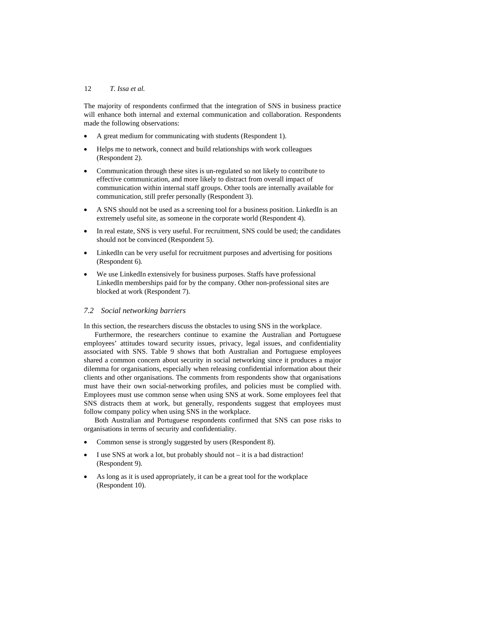The majority of respondents confirmed that the integration of SNS in business practice will enhance both internal and external communication and collaboration. Respondents made the following observations:

- A great medium for communicating with students (Respondent 1).
- Helps me to network, connect and build relationships with work colleagues (Respondent 2).
- Communication through these sites is un-regulated so not likely to contribute to effective communication, and more likely to distract from overall impact of communication within internal staff groups. Other tools are internally available for communication, still prefer personally (Respondent 3).
- A SNS should not be used as a screening tool for a business position. LinkedIn is an extremely useful site, as someone in the corporate world (Respondent 4).
- In real estate, SNS is very useful. For recruitment, SNS could be used; the candidates should not be convinced (Respondent 5).
- LinkedIn can be very useful for recruitment purposes and advertising for positions (Respondent 6).
- We use LinkedIn extensively for business purposes. Staffs have professional LinkedIn memberships paid for by the company. Other non-professional sites are blocked at work (Respondent 7).

# *7.2 Social networking barriers*

In this section, the researchers discuss the obstacles to using SNS in the workplace.

Furthermore, the researchers continue to examine the Australian and Portuguese employees' attitudes toward security issues, privacy, legal issues, and confidentiality associated with SNS. Table 9 shows that both Australian and Portuguese employees shared a common concern about security in social networking since it produces a major dilemma for organisations, especially when releasing confidential information about their clients and other organisations. The comments from respondents show that organisations must have their own social-networking profiles, and policies must be complied with. Employees must use common sense when using SNS at work. Some employees feel that SNS distracts them at work, but generally, respondents suggest that employees must follow company policy when using SNS in the workplace.

Both Australian and Portuguese respondents confirmed that SNS can pose risks to organisations in terms of security and confidentiality.

- Common sense is strongly suggested by users (Respondent 8).
- I use SNS at work a lot, but probably should not it is a bad distraction! (Respondent 9).
- As long as it is used appropriately, it can be a great tool for the workplace (Respondent 10).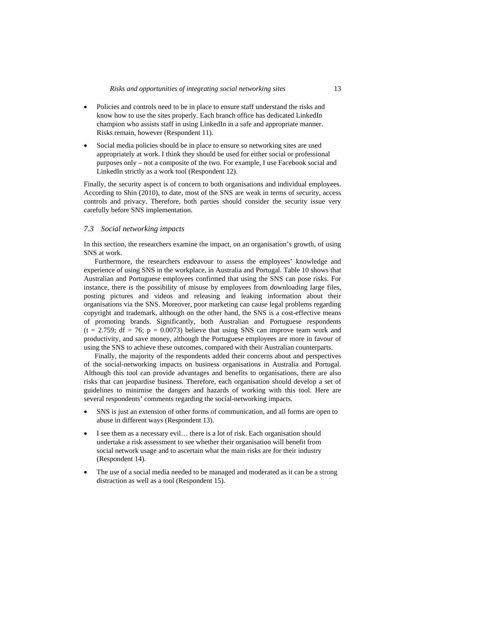- Policies and controls need to be in place to ensure staff understand the risks and know how to use the sites properly. Each branch office has dedicated LinkedIn champion who assists staff in using LinkedIn in a safe and appropriate manner. Risks remain, however (Respondent 11).
- Social media policies should be in place to ensure so networking sites are used appropriately at work. I think they should be used for either social or professional purposes only – not a composite of the two. For example, I use Facebook social and LinkedIn strictly as a work tool (Respondent 12).

Finally, the security aspect is of concern to both organisations and individual employees. According to Shin (2010), to date, most of the SNS are weak in terms of security, access controls and privacy. Therefore, both parties should consider the security issue very carefully before SNS implementation.

#### *7.3 Social networking impacts*

In this section, the researchers examine the impact, on an organisation's growth, of using SNS at work.

Furthermore, the researchers endeavour to assess the employees' knowledge and experience of using SNS in the workplace, in Australia and Portugal. Table 10 shows that Australian and Portuguese employees confirmed that using the SNS can pose risks. For instance, there is the possibility of misuse by employees from downloading large files, posting pictures and videos and releasing and leaking information about their organisations via the SNS. Moreover, poor marketing can cause legal problems regarding copyright and trademark, although on the other hand, the SNS is a cost-effective means of promoting brands. Significantly, both Australian and Portuguese respondents  $(t = 2.759; df = 76; p = 0.0073)$  believe that using SNS can improve team work and productivity, and save money, although the Portuguese employees are more in favour of using the SNS to achieve these outcomes, compared with their Australian counterparts.

Finally, the majority of the respondents added their concerns about and perspectives of the social-networking impacts on business organisations in Australia and Portugal. Although this tool can provide advantages and benefits to organisations, there are also risks that can jeopardise business. Therefore, each organisation should develop a set of guidelines to minimise the dangers and hazards of working with this tool. Here are several respondents' comments regarding the social-networking impacts.

- SNS is just an extension of other forms of communication, and all forms are open to abuse in different ways (Respondent 13).
- I see them as a necessary evil... there is a lot of risk. Each organisation should undertake a risk assessment to see whether their organisation will benefit from social network usage and to ascertain what the main risks are for their industry (Respondent 14).
- The use of a social media needed to be managed and moderated as it can be a strong distraction as well as a tool (Respondent 15).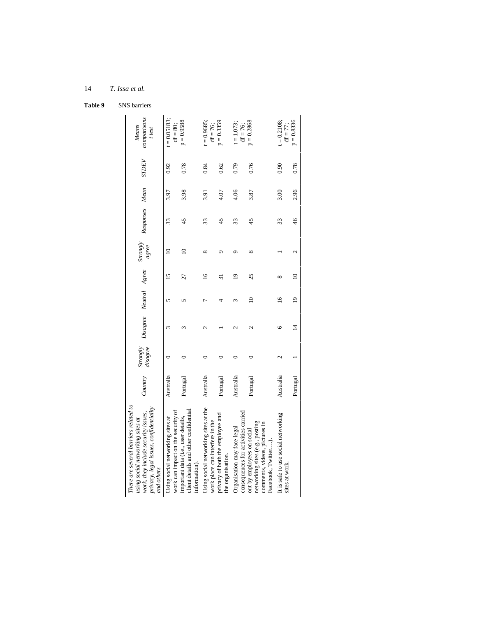Table 9 SNS barriers

| There are several barriers related to<br>privacy, legal issues, confidentiality<br>work, they include security issues,<br>using social networking sites at<br>and others | Country   | Strongly<br>disagree |   | Disagree Neutral Agree |                | Strongly<br>agree | Responses Mean |      | <b>STDEV</b> | comparisons<br><b>Means</b><br>t test |
|--------------------------------------------------------------------------------------------------------------------------------------------------------------------------|-----------|----------------------|---|------------------------|----------------|-------------------|----------------|------|--------------|---------------------------------------|
| work can impact on the security of<br>Using social networking sites at                                                                                                   | Australia |                      |   |                        | 15             | $\subseteq$       | 33             | 3.97 | 0.92         | $t = 0.05183$<br>$df = 80$ :          |
| client details and other confidential<br>important data (i.e., user details,<br>information).                                                                            | Portugal  |                      |   | ທ                      | 27             | $\overline{a}$    | 45             | 3.98 | 0.78         | $p = 0.9588$                          |
| Using social networking sites at the<br>work place can interfere in the                                                                                                  | Australia |                      |   |                        | $\frac{6}{1}$  | $\infty$          | 33             | 3.91 | 0.84         | $t = 0.9685$ ;<br>$df = 76$           |
| privacy of both the employee and<br>the organisation.                                                                                                                    | Portugal  |                      |   |                        | ಸ              |                   | 45             | 4.07 | 0.62         | $p = 0.3359$                          |
| consequences for activities carried<br>Organisation may face legal                                                                                                       | Australia |                      |   | $\sim$                 | $\overline{0}$ |                   | 33             | 4.06 | 0.79         | $t = 1.073$ ;<br>$df = 76$            |
| networking sites (e.g., posting<br>comments, videos, pictures in<br>out by employees on social<br>Facebook, Twitter)                                                     | Portugal  |                      |   | $\supseteq$            | 25             | $\infty$          | 45             | 3.87 | 0.76         | $p = 0.2868$                          |
| It is safe to use social networking<br>sites at work                                                                                                                     | Australia |                      | ७ | $\overline{9}$         |                |                   | 33             | 3.00 | 0.90         | $t = 0.2108$<br>$df = 77$ :           |
|                                                                                                                                                                          | Portugal  |                      |   | $\overline{0}$         | $\overline{a}$ |                   | $\frac{46}{5}$ | 2.96 | 0.78         | $p = 0.8336$                          |
|                                                                                                                                                                          |           |                      |   |                        |                |                   |                |      |              |                                       |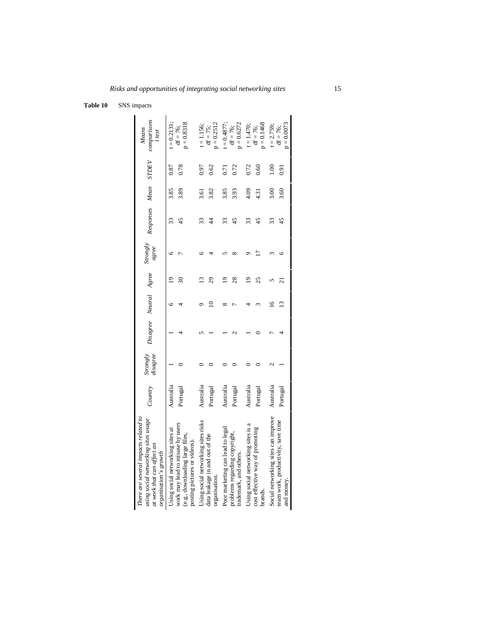| Table 10 | SNS impacts |
|----------|-------------|
|          |             |

| There are several impacts related to<br>using social networking sites usage<br>at work that can affect an<br>organisation's growth | Country   | Strongly<br>disagree | Disagree Neutral Agree |         | Strongly<br>agree | Responses Mean STDEV |      |               | comparisons<br><b>Means</b><br>t test |
|------------------------------------------------------------------------------------------------------------------------------------|-----------|----------------------|------------------------|---------|-------------------|----------------------|------|---------------|---------------------------------------|
| Using social networking sites at                                                                                                   | Australia |                      | 6                      | $\circ$ | O                 | 33                   | 3.85 | 0.87          | $t = 0.2131$ :                        |
| work may lead to misuse by users<br>(e.g., downloading large files,<br>posting pictures or videos)                                 | Portugal  |                      |                        |         |                   | 45                   | 3.89 | 0.78          | $p = 0.8318$<br>$df = 76$ :           |
| Using social networking sites risks                                                                                                | Australia |                      |                        |         |                   | 33                   | 3.61 | 0.97          | $t = 1.156$                           |
| data leakage in and out of the<br>organisation                                                                                     | Portugal  |                      |                        | 29      |                   | $\frac{4}{3}$        | 3.82 | 0.62          | $p = 0.2512$<br>$df = 75$ :           |
| Poor marketing can lead to legal                                                                                                   | Australia |                      |                        | $\circ$ |                   | 33                   | 3.85 | 1.71          | $t = 0.4877$                          |
| problems regarding copyright,<br>trademark, and others.                                                                            | Portugal  |                      |                        | 28      |                   | 45                   | 3.93 | 0.72          | $p = 0.6272$<br>$df = 76$ :           |
| Using social networking sites is a                                                                                                 | Australia |                      |                        | $\circ$ |                   | 33                   | 4.09 | 0.72          | $t = 1.470$ ;                         |
| cost effective way of promoting<br>brands.                                                                                         | Portugal  |                      |                        | Ω       |                   | 45                   | 4.31 | 0.60          | $p = 0.1468$<br>$df = 76$ :           |
| Social networking sites can improve                                                                                                | Australia |                      | ७                      |         |                   | 33                   | 3.00 | $\frac{8}{1}$ | $t = 2.759$ ;                         |
| team work, productivity, save time<br>and money                                                                                    | Portugal  |                      | W                      | ಸ       |                   | 45                   | 3.60 | 0.91          | $p = 0.0073$<br>$df = 76$ :           |
|                                                                                                                                    |           |                      |                        |         |                   |                      |      |               |                                       |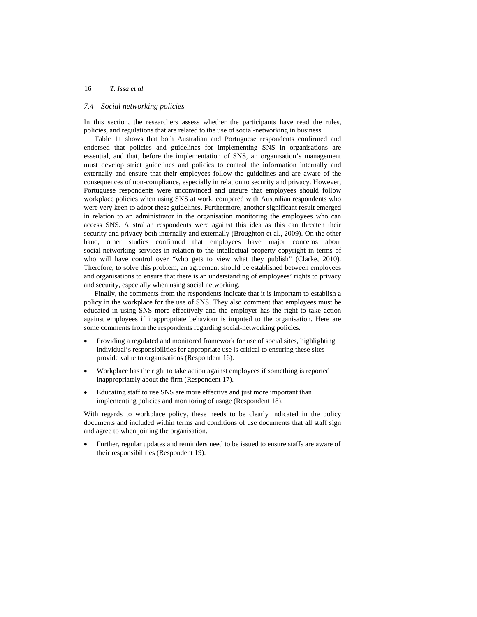#### *7.4 Social networking policies*

In this section, the researchers assess whether the participants have read the rules, policies, and regulations that are related to the use of social-networking in business.

Table 11 shows that both Australian and Portuguese respondents confirmed and endorsed that policies and guidelines for implementing SNS in organisations are essential, and that, before the implementation of SNS, an organisation's management must develop strict guidelines and policies to control the information internally and externally and ensure that their employees follow the guidelines and are aware of the consequences of non-compliance, especially in relation to security and privacy. However, Portuguese respondents were unconvinced and unsure that employees should follow workplace policies when using SNS at work, compared with Australian respondents who were very keen to adopt these guidelines. Furthermore, another significant result emerged in relation to an administrator in the organisation monitoring the employees who can access SNS. Australian respondents were against this idea as this can threaten their security and privacy both internally and externally (Broughton et al., 2009). On the other hand, other studies confirmed that employees have major concerns about social-networking services in relation to the intellectual property copyright in terms of who will have control over "who gets to view what they publish" (Clarke, 2010). Therefore, to solve this problem, an agreement should be established between employees and organisations to ensure that there is an understanding of employees' rights to privacy and security, especially when using social networking.

Finally, the comments from the respondents indicate that it is important to establish a policy in the workplace for the use of SNS. They also comment that employees must be educated in using SNS more effectively and the employer has the right to take action against employees if inappropriate behaviour is imputed to the organisation. Here are some comments from the respondents regarding social-networking policies.

- Providing a regulated and monitored framework for use of social sites, highlighting individual's responsibilities for appropriate use is critical to ensuring these sites provide value to organisations (Respondent 16).
- Workplace has the right to take action against employees if something is reported inappropriately about the firm (Respondent 17).
- Educating staff to use SNS are more effective and just more important than implementing policies and monitoring of usage (Respondent 18).

With regards to workplace policy, these needs to be clearly indicated in the policy documents and included within terms and conditions of use documents that all staff sign and agree to when joining the organisation.

• Further, regular updates and reminders need to be issued to ensure staffs are aware of their responsibilities (Respondent 19).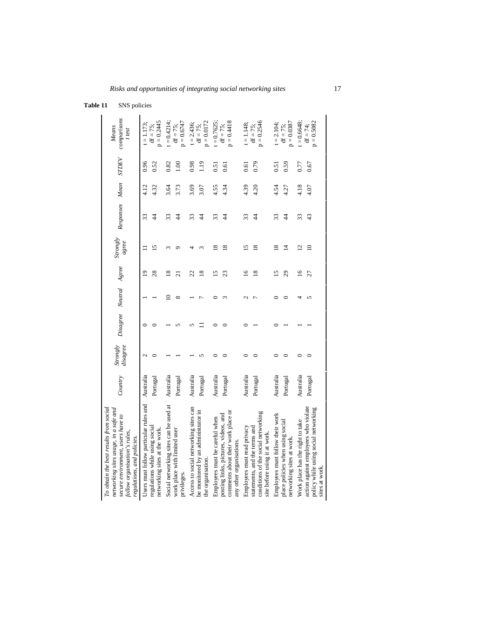| To obtain the best results from social<br>networking sites usage, in a safe ana<br>secure environment, users have to<br>follow organisation's rules,<br>regulations, and policies. | Country   | Strongly<br>disagree | Disagree Neutral Agree |                     | Strongly<br>agree | Responses Mean |      | <b>STDEV</b>   | comparisons<br>Means<br>t test |
|------------------------------------------------------------------------------------------------------------------------------------------------------------------------------------|-----------|----------------------|------------------------|---------------------|-------------------|----------------|------|----------------|--------------------------------|
| Users must follow particular rules and                                                                                                                                             | Australia |                      |                        | $\circ$             |                   | 33             | 4.12 | 0.96           | $t = 1.173$ ;                  |
| regulations while using social<br>networking sites at the work.                                                                                                                    | Portugal  |                      |                        | 28                  | 15                | 4              | 4.32 | 0.52           | $p = 0.2445$<br>$df = 75;$     |
| Social networking sites can be used at                                                                                                                                             | Australia |                      | $\subseteq$            | $\overline{\infty}$ |                   | 33             | 3.64 | 0.82           | $= 0.4214$                     |
| work place with limited user<br>privileges.                                                                                                                                        | Portugal  |                      |                        | ಸ                   |                   | $\overline{4}$ | 3.73 | $\overline{0}$ | $p = 0.6747$<br>$df = 75$ :    |
| Access to social networking sites can                                                                                                                                              | Australia |                      |                        | 22                  |                   | 33             | 3.69 | 0.98           | $t = 2.436$ ;                  |
| be monitored by an administrator in<br>the organisation.                                                                                                                           | Portuga   |                      |                        | $\frac{8}{2}$       |                   | $\sharp$       | 3.07 | 1.19           | $p = 0.0172$<br>$df = 75;$     |
| Employees must be careful when                                                                                                                                                     | Australia |                      |                        | ە                   | $\frac{8}{18}$    | 33             | 4.55 | 0.51           | $t = 0.7625$                   |
| comments about their work place or<br>posting links, pictures, videos, and<br>any other organisations.                                                                             | Portugal  |                      |                        | 23                  | $\frac{8}{2}$     | $\overline{4}$ | 4.34 | 0.61           | $p = 0.4418$<br>$df = 75;$     |
| Employees must read privacy                                                                                                                                                        | Australia |                      |                        | $\overline{6}$      | 15                | 33             | 4.39 | 0.61           | $t = 1.148$                    |
| conditions of the social networking<br>statements, and the terms and<br>site before using it at work.                                                                              | Portugal  |                      |                        | $\overline{8}$      | $\frac{8}{2}$     | \$             | 4.20 | 0.79           | $p = 0.2546$<br>$df = 75;$     |
| Employees must follow their work                                                                                                                                                   | Australia |                      |                        | $\overline{5}$      | $\frac{8}{2}$     | 33             | 4.54 | 0.51           | $t = 2.104;$                   |
| place policies when using social<br>networking sites at work                                                                                                                       | Portugal  |                      |                        | 29                  | 4                 | \$             | 4.27 | 0.59           | $p = 0.0387$<br>$df = 75;$     |
| Work place has the right to take                                                                                                                                                   | Australia |                      |                        | $\frac{6}{1}$       | $\overline{c}$    | 33             | 4.18 | 0.77           | $= 0.6648$                     |
| action against employees who violate<br>policy while using social networking<br>sites at work                                                                                      | Portugal  |                      |                        | 27                  | $\supseteq$       | 43             | 4.07 | 0.67           | $p = 0.5082$<br>$df = 74$ :    |

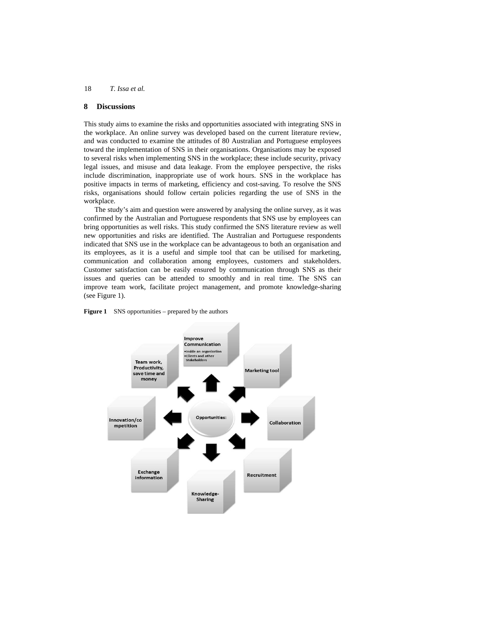#### **8 Discussions**

This study aims to examine the risks and opportunities associated with integrating SNS in the workplace. An online survey was developed based on the current literature review, and was conducted to examine the attitudes of 80 Australian and Portuguese employees toward the implementation of SNS in their organisations. Organisations may be exposed to several risks when implementing SNS in the workplace; these include security, privacy legal issues, and misuse and data leakage. From the employee perspective, the risks include discrimination, inappropriate use of work hours. SNS in the workplace has positive impacts in terms of marketing, efficiency and cost-saving. To resolve the SNS risks, organisations should follow certain policies regarding the use of SNS in the workplace.

The study's aim and question were answered by analysing the online survey, as it was confirmed by the Australian and Portuguese respondents that SNS use by employees can bring opportunities as well risks. This study confirmed the SNS literature review as well new opportunities and risks are identified. The Australian and Portuguese respondents indicated that SNS use in the workplace can be advantageous to both an organisation and its employees, as it is a useful and simple tool that can be utilised for marketing, communication and collaboration among employees, customers and stakeholders. Customer satisfaction can be easily ensured by communication through SNS as their issues and queries can be attended to smoothly and in real time. The SNS can improve team work, facilitate project management, and promote knowledge-sharing (see Figure 1).



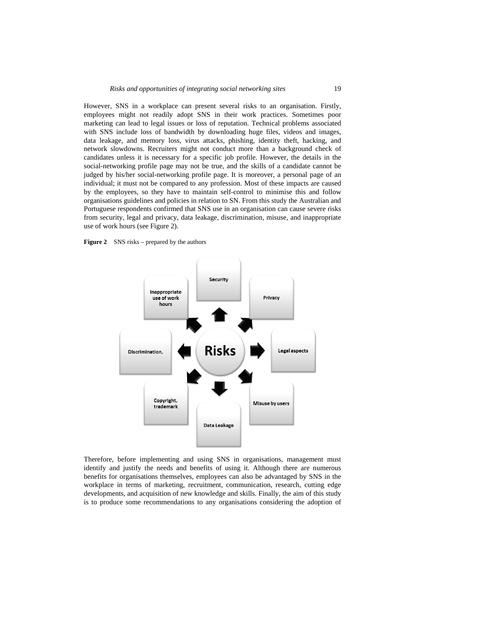However, SNS in a workplace can present several risks to an organisation. Firstly, employees might not readily adopt SNS in their work practices. Sometimes poor marketing can lead to legal issues or loss of reputation. Technical problems associated with SNS include loss of bandwidth by downloading huge files, videos and images, data leakage, and memory loss, virus attacks, phishing, identity theft, hacking, and network slowdowns. Recruiters might not conduct more than a background check of candidates unless it is necessary for a specific job profile. However, the details in the social-networking profile page may not be true, and the skills of a candidate cannot be judged by his/her social-networking profile page. It is moreover, a personal page of an individual; it must not be compared to any profession. Most of these impacts are caused by the employees, so they have to maintain self-control to minimise this and follow organisations guidelines and policies in relation to SN. From this study the Australian and Portuguese respondents confirmed that SNS use in an organisation can cause severe risks from security, legal and privacy, data leakage, discrimination, misuse, and inappropriate use of work hours (see Figure 2).

**Figure 2** SNS risks – prepared by the authors



Therefore, before implementing and using SNS in organisations, management must identify and justify the needs and benefits of using it. Although there are numerous benefits for organisations themselves, employees can also be advantaged by SNS in the workplace in terms of marketing, recruitment, communication, research, cutting edge developments, and acquisition of new knowledge and skills. Finally, the aim of this study is to produce some recommendations to any organisations considering the adoption of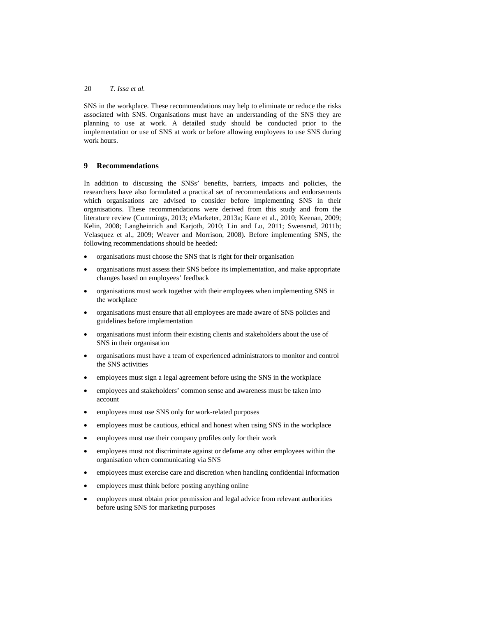SNS in the workplace. These recommendations may help to eliminate or reduce the risks associated with SNS. Organisations must have an understanding of the SNS they are planning to use at work. A detailed study should be conducted prior to the implementation or use of SNS at work or before allowing employees to use SNS during work hours.

# **9 Recommendations**

In addition to discussing the SNSs' benefits, barriers, impacts and policies, the researchers have also formulated a practical set of recommendations and endorsements which organisations are advised to consider before implementing SNS in their organisations. These recommendations were derived from this study and from the literature review (Cummings, 2013; eMarketer, 2013a; Kane et al., 2010; Keenan, 2009; Kelin, 2008; Langheinrich and Karjoth, 2010; Lin and Lu, 2011; Swensrud, 2011b; Velasquez et al., 2009; Weaver and Morrison, 2008). Before implementing SNS, the following recommendations should be heeded:

- organisations must choose the SNS that is right for their organisation
- organisations must assess their SNS before its implementation, and make appropriate changes based on employees' feedback
- organisations must work together with their employees when implementing SNS in the workplace
- organisations must ensure that all employees are made aware of SNS policies and guidelines before implementation
- organisations must inform their existing clients and stakeholders about the use of SNS in their organisation
- organisations must have a team of experienced administrators to monitor and control the SNS activities
- employees must sign a legal agreement before using the SNS in the workplace
- employees and stakeholders' common sense and awareness must be taken into account
- employees must use SNS only for work-related purposes
- employees must be cautious, ethical and honest when using SNS in the workplace
- employees must use their company profiles only for their work
- employees must not discriminate against or defame any other employees within the organisation when communicating via SNS
- employees must exercise care and discretion when handling confidential information
- employees must think before posting anything online
- employees must obtain prior permission and legal advice from relevant authorities before using SNS for marketing purposes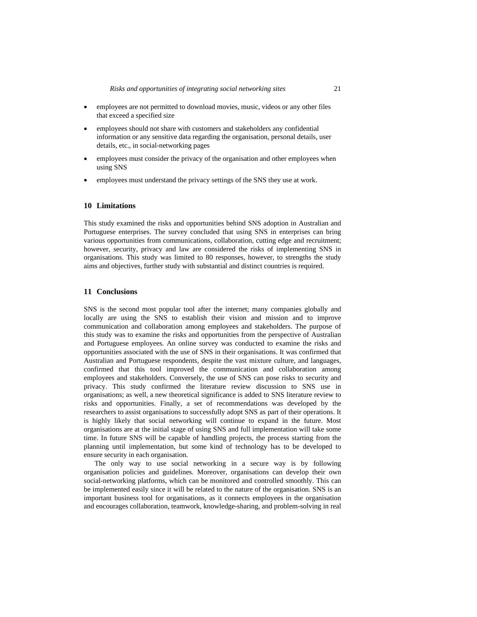- employees are not permitted to download movies, music, videos or any other files that exceed a specified size
- employees should not share with customers and stakeholders any confidential information or any sensitive data regarding the organisation, personal details, user details, etc., in social-networking pages
- employees must consider the privacy of the organisation and other employees when using SNS
- employees must understand the privacy settings of the SNS they use at work.

# **10 Limitations**

This study examined the risks and opportunities behind SNS adoption in Australian and Portuguese enterprises. The survey concluded that using SNS in enterprises can bring various opportunities from communications, collaboration, cutting edge and recruitment; however, security, privacy and law are considered the risks of implementing SNS in organisations. This study was limited to 80 responses, however, to strengths the study aims and objectives, further study with substantial and distinct countries is required.

#### **11 Conclusions**

SNS is the second most popular tool after the internet; many companies globally and locally are using the SNS to establish their vision and mission and to improve communication and collaboration among employees and stakeholders. The purpose of this study was to examine the risks and opportunities from the perspective of Australian and Portuguese employees. An online survey was conducted to examine the risks and opportunities associated with the use of SNS in their organisations. It was confirmed that Australian and Portuguese respondents, despite the vast mixture culture, and languages, confirmed that this tool improved the communication and collaboration among employees and stakeholders. Conversely, the use of SNS can pose risks to security and privacy. This study confirmed the literature review discussion to SNS use in organisations; as well, a new theoretical significance is added to SNS literature review to risks and opportunities. Finally, a set of recommendations was developed by the researchers to assist organisations to successfully adopt SNS as part of their operations. It is highly likely that social networking will continue to expand in the future. Most organisations are at the initial stage of using SNS and full implementation will take some time. In future SNS will be capable of handling projects, the process starting from the planning until implementation, but some kind of technology has to be developed to ensure security in each organisation.

The only way to use social networking in a secure way is by following organisation policies and guidelines. Moreover, organisations can develop their own social-networking platforms, which can be monitored and controlled smoothly. This can be implemented easily since it will be related to the nature of the organisation. SNS is an important business tool for organisations, as it connects employees in the organisation and encourages collaboration, teamwork, knowledge-sharing, and problem-solving in real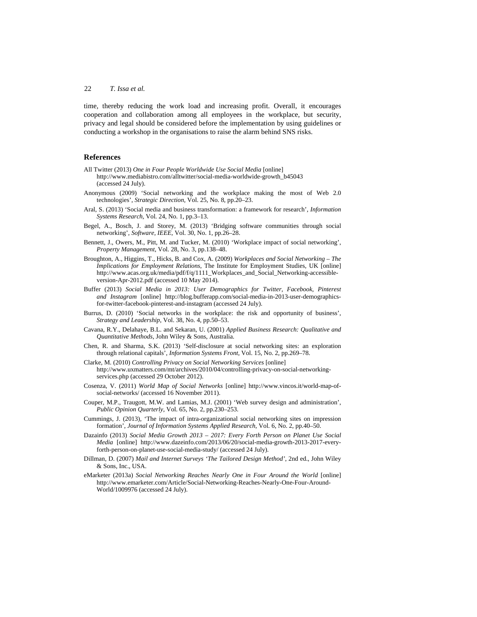time, thereby reducing the work load and increasing profit. Overall, it encourages cooperation and collaboration among all employees in the workplace, but security, privacy and legal should be considered before the implementation by using guidelines or conducting a workshop in the organisations to raise the alarm behind SNS risks.

# **References**

- All Twitter (2013) *One in Four People Worldwide Use Social Media* [online] http://www.mediabistro.com/alltwitter/social-media-worldwide-growth\_b45043 (accessed 24 July).
- Anonymous (2009) 'Social networking and the workplace making the most of Web 2.0 technologies', *Strategic Direction*, Vol. 25, No. 8, pp.20–23.
- Aral, S. (2013) 'Social media and business transformation: a framework for research', *Information Systems Research*, Vol. 24, No. 1, pp.3–13.
- Begel, A., Bosch, J. and Storey, M. (2013) 'Bridging software communities through social networking', *Software, IEEE*, Vol. 30, No. 1, pp.26–28.
- Bennett, J., Owers, M., Pitt, M. and Tucker, M. (2010) 'Workplace impact of social networking', *Property Management*, Vol. 28, No. 3, pp.138–48.
- Broughton, A., Higgins, T., Hicks, B. and Cox, A. (2009) *Workplaces and Social Networking The Implications for Employment Relations*, The Institute for Employment Studies, UK [online] http://www.acas.org.uk/media/pdf/f/q/1111\_Workplaces\_and\_Social\_Networking-accessibleversion-Apr-2012.pdf (accessed 10 May 2014).
- Buffer (2013) *Social Media in 2013: User Demographics for Twitter, Facebook, Pinterest and Instagram* [online] http://blog.bufferapp.com/social-media-in-2013-user-demographicsfor-twitter-facebook-pinterest-and-instagram (accessed 24 July).
- Burrus, D. (2010) 'Social networks in the workplace: the risk and opportunity of business', *Strategy and Leadership*, Vol. 38, No. 4, pp.50–53.
- Cavana, R.Y., Delahaye, B.L. and Sekaran, U. (2001) *Applied Business Research: Qualitative and Quantitative Methods*, John Wiley & Sons, Australia.
- Chen, R. and Sharma, S.K. (2013) 'Self-disclosure at social networking sites: an exploration through relational capitals', *Information Systems Front*, Vol. 15, No. 2, pp.269–78.
- Clarke, M. (2010) *Controlling Privacy on Social Networking Services* [online] http://www.uxmatters.com/mt/archives/2010/04/controlling-privacy-on-social-networkingservices.php (accessed 29 October 2012).
- Cosenza, V. (2011) *World Map of Social Networks* [online] http://www.vincos.it/world-map-ofsocial-networks/ (accessed 16 November 2011).
- Couper, M.P., Traugott, M.W. and Lamias, M.J. (2001) 'Web survey design and administration', *Public Opinion Quarterly*, Vol. 65, No. 2, pp.230–253.
- Cummings, J. (2013), 'The impact of intra-organizational social networking sites on impression formation', *Journal of Information Systems Applied Research*, Vol. 6, No. 2, pp.40–50.
- Dazainfo (2013) *Social Media Growth 2013 2017: Every Forth Person on Planet Use Social Media* [online] http://www.dazeinfo.com/2013/06/20/social-media-growth-2013-2017-everyforth-person-on-planet-use-social-media-study/ (accessed 24 July).
- Dillman, D. (2007) *Mail and Internet Surveys 'The Tailored Design Method'*, 2nd ed., John Wiley & Sons, Inc., USA.
- eMarketer (2013a) *Social Networking Reaches Nearly One in Four Around the World* [online] http://www.emarketer.com/Article/Social-Networking-Reaches-Nearly-One-Four-Around-World/1009976 (accessed 24 July).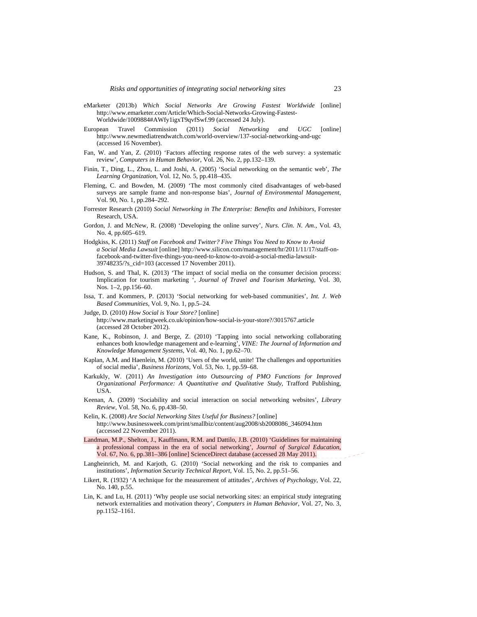- eMarketer (2013b) *Which Social Networks Are Growing Fastest Worldwide* [online] http://www.emarketer.com/Article/Which-Social-Networks-Growing-Fastest-Worldwide/1009884#AWfy1igxT9qvfSwf.99 (accessed 24 July).
- European Travel Commission (2011) *Social Networking and UGC* [online] http://www.newmediatrendwatch.com/world-overview/137-social-networking-and-ugc (accessed 16 November).
- Fan, W. and Yan, Z. (2010) 'Factors affecting response rates of the web survey: a systematic review', *Computers in Human Behavior*, Vol. 26, No. 2, pp.132–139.
- Finin, T., Ding, L., Zhou, L. and Joshi, A. (2005) 'Social networking on the semantic web', *The Learning Organization*, Vol. 12, No. 5, pp.418–435.
- Fleming, C. and Bowden, M. (2009) 'The most commonly cited disadvantages of web-based surveys are sample frame and non-response bias', *Journal of Environmental Management*, Vol. 90, No. 1, pp.284–292.
- Forrester Research (2010) *Social Networking in The Enterprise: Benefits and Inhibitors*, Forrester Research, USA.
- Gordon, J. and McNew, R. (2008) 'Developing the online survey', *Nurs. Clin. N. Am.*, Vol. 43, No. 4, pp.605–619.
- Hodgkiss, K. (2011) *Staff on Facebook and Twitter? Five Things You Need to Know to Avoid a Social Media Lawsuit* [online] http://www.silicon.com/management/hr/2011/11/17/staff-onfacebook-and-twitter-five-things-you-need-to-know-to-avoid-a-social-media-lawsuit-39748235/?s\_cid=103 (accessed 17 November 2011).
- Hudson, S. and Thal, K. (2013) 'The impact of social media on the consumer decision process: Implication for tourism marketing ', *Journal of Travel and Tourism Marketing*, Vol. 30, Nos. 1–2, pp.156–60.
- Issa, T. and Kommers, P. (2013) 'Social networking for web-based communities', *Int. J. Web Based Communities*, Vol. 9, No. 1, pp.5–24.
- Judge, D. (2010) *How Social is Your Store?* [online] http://www.marketingweek.co.uk/opinion/how-social-is-your-store?/3015767.article (accessed 28 October 2012).
- Kane, K., Robinson, J. and Berge, Z. (2010) 'Tapping into social networking collaborating enhances both knowledge management and e-learning', *VINE: The Journal of Information and Knowledge Management Systems*, Vol. 40, No. 1, pp.62–70.
- Kaplan, A.M. and Haenlein, M. (2010) 'Users of the world, unite! The challenges and opportunities of social media', *Business Horizons*, Vol. 53, No. 1, pp.59–68.
- Karkukly, W. (2011) *An Investigation into Outsourcing of PMO Functions for Improved Organizational Performance: A Quantitative and Qualitative Study*, Trafford Publishing, USA.
- Keenan, A. (2009) 'Sociability and social interaction on social networking websites', *Library Review*, Vol. 58, No. 6, pp.438–50.
- Kelin, K. (2008) *Are Social Networking Sites Useful for Business?* [online] http://www.businessweek.com/print/smallbiz/content/aug2008/sb2008086\_346094.htm (accessed 22 November 2011).
- Landman, M.P., Shelton, J., Kauffmann, R.M. and Dattilo, J.B. (2010) 'Guidelines for maintaining a professional compass in the era of social networking', *Journal of Surgical Education*, Vol. 67, No. 6, pp.381–386 [online] ScienceDirect database (accessed 28 May 2011).
- Langheinrich, M. and Karjoth, G. (2010) 'Social networking and the risk to companies and institutions', *Information Security Technical Report*, Vol. 15, No. 2, pp.51–56.
- Likert, R. (1932) 'A technique for the measurement of attitudes', *Archives of Psychology*, Vol. 22, No. 140, p.55.
- Lin, K. and Lu, H. (2011) 'Why people use social networking sites: an empirical study integrating network externalities and motivation theory', *Computers in Human Behavior*, Vol. 27, No. 3, pp.1152–1161.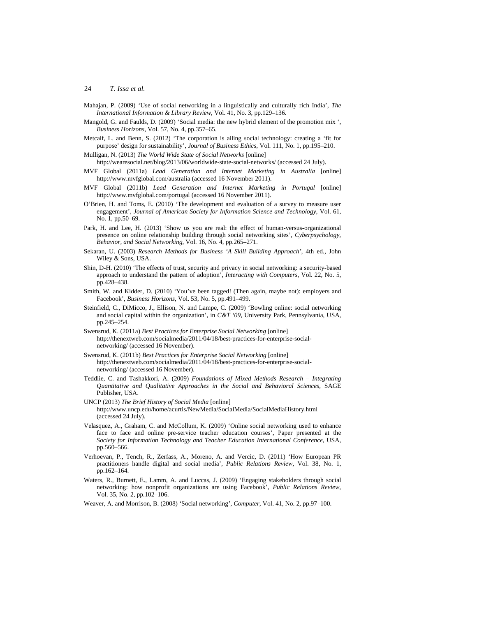- Mahajan, P. (2009) 'Use of social networking in a linguistically and culturally rich India', *The International Information & Library Review*, Vol. 41, No. 3, pp.129–136.
- Mangold, G. and Faulds, D. (2009) 'Social media: the new hybrid element of the promotion mix '. *Business Horizons*, Vol. 57, No. 4, pp.357–65.
- Metcalf, L. and Benn, S. (2012) 'The corporation is ailing social technology: creating a 'fit for purpose' design for sustainability', *Journal of Business Ethics*, Vol. 111, No. 1, pp.195–210.
- Mulligan, N. (2013) *The World Wide State of Social Networks* [online] http://wearesocial.net/blog/2013/06/worldwide-state-social-networks/ (accessed 24 July).
- MVF Global (2011a) *Lead Generation and Internet Marketing in Australia* [online] http://www.mvfglobal.com/australia (accessed 16 November 2011).
- MVF Global (2011b) *Lead Generation and Internet Marketing in Portugal* [online] http://www.mvfglobal.com/portugal (accessed 16 November 2011).
- O'Brien, H. and Toms, E. (2010) 'The development and evaluation of a survey to measure user engagement', *Journal of American Society for Information Science and Technology*, Vol. 61, No. 1, pp.50–69.
- Park, H. and Lee, H. (2013) 'Show us you are real: the effect of human-versus-organizational presence on online relationship building through social networking sites', *Cyberpsychology, Behavior, and Social Networking*, Vol. 16, No. 4, pp.265–271.
- Sekaran, U. (2003) *Research Methods for Business 'A Skill Building Approach'*, 4th ed., John Wiley & Sons, USA.
- Shin, D-H. (2010) 'The effects of trust, security and privacy in social networking: a security-based approach to understand the pattern of adoption', *Interacting with Computers*, Vol. 22, No. 5, pp.428–438.
- Smith, W. and Kidder, D. (2010) 'You've been tagged! (Then again, maybe not): employers and Facebook', *Business Horizons*, Vol. 53, No. 5, pp.491–499.
- Steinfield, C., DiMicco, J., Ellison, N. and Lampe, C. (2009) 'Bowling online: social networking and social capital within the organization', in *C&T '09*, University Park, Pennsylvania, USA, pp.245–254.
- Swensrud, K. (2011a) *Best Practices for Enterprise Social Networking* [online] http://thenextweb.com/socialmedia/2011/04/18/best-practices-for-enterprise-socialnetworking/ (accessed 16 November).
- Swensrud, K. (2011b) *Best Practices for Enterprise Social Networking* [online] http://thenextweb.com/socialmedia/2011/04/18/best-practices-for-enterprise-socialnetworking/ (accessed 16 November).
- Teddlie, C. and Tashakkori, A. (2009) *Foundations of Mixed Methods Research Integrating Quantitative and Qualitative Approaches in the Social and Behavioral Sciences*, SAGE Publisher, USA.
- UNCP (2013) *The Brief History of Social Media* [online] http://www.uncp.edu/home/acurtis/NewMedia/SocialMedia/SocialMediaHistory.html (accessed 24 July).
- Velasquez, A., Graham, C. and McCollum, K. (2009) 'Online social networking used to enhance face to face and online pre-service teacher education courses', Paper presented at the *Society for Information Technology and Teacher Education International Conference*, USA, pp.560–566.
- Verhoevan, P., Tench, R., Zerfass, A., Moreno, A. and Vercic, D. (2011) 'How European PR practitioners handle digital and social media', *Public Relations Review*, Vol. 38, No. 1, pp.162–164.
- Waters, R., Burnett, E., Lamm, A. and Luccas, J. (2009) 'Engaging stakeholders through social networking: how nonprofit organizations are using Facebook', *Public Relations Review*, Vol. 35, No. 2, pp.102–106.
- Weaver, A. and Morrison, B. (2008) 'Social networking', *Computer*, Vol. 41, No. 2, pp.97–100.